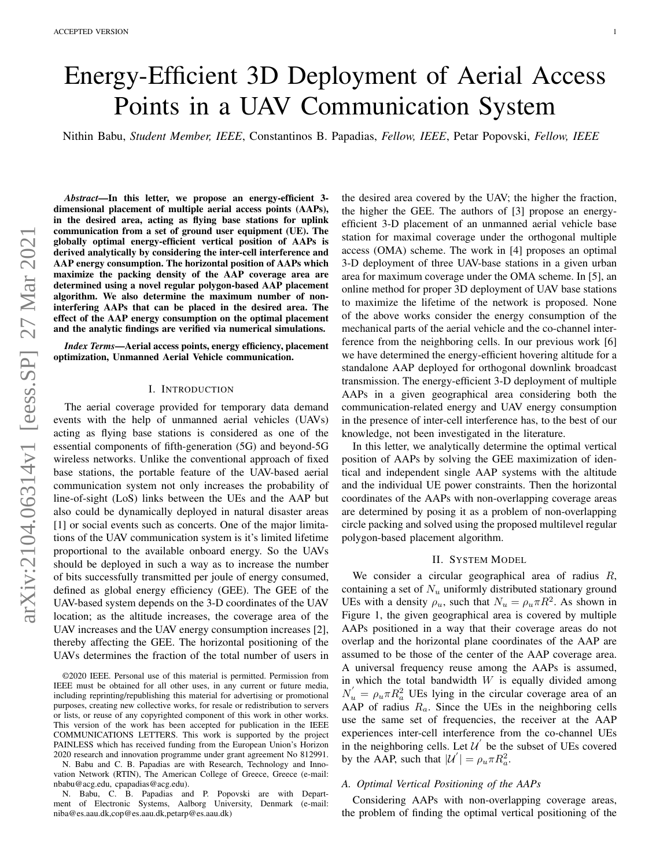# Energy-Efficient 3D Deployment of Aerial Access Points in a UAV Communication System

Nithin Babu, *Student Member, IEEE*, Constantinos B. Papadias, *Fellow, IEEE*, Petar Popovski, *Fellow, IEEE*

*Abstract*—In this letter, we propose an energy-efficient 3 dimensional placement of multiple aerial access points (AAPs), in the desired area, acting as flying base stations for uplink communication from a set of ground user equipment (UE). The globally optimal energy-efficient vertical position of AAPs is derived analytically by considering the inter-cell interference and AAP energy consumption. The horizontal position of AAPs which maximize the packing density of the AAP coverage area are determined using a novel regular polygon-based AAP placement algorithm. We also determine the maximum number of noninterfering AAPs that can be placed in the desired area. The effect of the AAP energy consumption on the optimal placement and the analytic findings are verified via numerical simulations.

*Index Terms*—Aerial access points, energy efficiency, placement optimization, Unmanned Aerial Vehicle communication.

## I. INTRODUCTION

The aerial coverage provided for temporary data demand events with the help of unmanned aerial vehicles (UAVs) acting as flying base stations is considered as one of the essential components of fifth-generation (5G) and beyond-5G wireless networks. Unlike the conventional approach of fixed base stations, the portable feature of the UAV-based aerial communication system not only increases the probability of line-of-sight (LoS) links between the UEs and the AAP but also could be dynamically deployed in natural disaster areas [1] or social events such as concerts. One of the major limitations of the UAV communication system is it's limited lifetime proportional to the available onboard energy. So the UAVs should be deployed in such a way as to increase the number of bits successfully transmitted per joule of energy consumed, defined as global energy efficiency (GEE). The GEE of the UAV-based system depends on the 3-D coordinates of the UAV location; as the altitude increases, the coverage area of the UAV increases and the UAV energy consumption increases [2], thereby affecting the GEE. The horizontal positioning of the UAVs determines the fraction of the total number of users in

N. Babu and C. B. Papadias are with Research, Technology and Innovation Network (RTIN), The American College of Greece, Greece (e-mail: nbabu@acg.edu, cpapadias@acg.edu).

N. Babu, C. B. Papadias and P. Popovski are with Department of Electronic Systems, Aalborg University, Denmark (e-mail: niba@es.aau.dk,cop@es.aau.dk,petarp@es.aau.dk)

the desired area covered by the UAV; the higher the fraction, the higher the GEE. The authors of [3] propose an energyefficient 3-D placement of an unmanned aerial vehicle base station for maximal coverage under the orthogonal multiple access (OMA) scheme. The work in [4] proposes an optimal 3-D deployment of three UAV-base stations in a given urban area for maximum coverage under the OMA scheme. In [5], an online method for proper 3D deployment of UAV base stations to maximize the lifetime of the network is proposed. None of the above works consider the energy consumption of the mechanical parts of the aerial vehicle and the co-channel interference from the neighboring cells. In our previous work [6] we have determined the energy-efficient hovering altitude for a standalone AAP deployed for orthogonal downlink broadcast transmission. The energy-efficient 3-D deployment of multiple AAPs in a given geographical area considering both the communication-related energy and UAV energy consumption in the presence of inter-cell interference has, to the best of our knowledge, not been investigated in the literature.

In this letter, we analytically determine the optimal vertical position of AAPs by solving the GEE maximization of identical and independent single AAP systems with the altitude and the individual UE power constraints. Then the horizontal coordinates of the AAPs with non-overlapping coverage areas are determined by posing it as a problem of non-overlapping circle packing and solved using the proposed multilevel regular polygon-based placement algorithm.

### II. SYSTEM MODEL

We consider a circular geographical area of radius R, containing a set of  $N_u$  uniformly distributed stationary ground UEs with a density  $\rho_u$ , such that  $N_u = \rho_u \pi R^2$ . As shown in Figure 1, the given geographical area is covered by multiple AAPs positioned in a way that their coverage areas do not overlap and the horizontal plane coordinates of the AAP are assumed to be those of the center of the AAP coverage area. A universal frequency reuse among the AAPs is assumed, in which the total bandwidth  $W$  is equally divided among  $N'_u = \rho_u \pi R_a^2$  UEs lying in the circular coverage area of an AAP of radius  $R_a$ . Since the UEs in the neighboring cells use the same set of frequencies, the receiver at the AAP experiences inter-cell interference from the co-channel UEs in the neighboring cells. Let  $\mathcal{U}'$  be the subset of UEs covered by the AAP, such that  $|\mathcal{U}'| = \rho_u \pi R_a^2$ .

## *A. Optimal Vertical Positioning of the AAPs*

Considering AAPs with non-overlapping coverage areas, the problem of finding the optimal vertical positioning of the

<sup>©2020</sup> IEEE. Personal use of this material is permitted. Permission from IEEE must be obtained for all other uses, in any current or future media, including reprinting/republishing this material for advertising or promotional purposes, creating new collective works, for resale or redistribution to servers or lists, or reuse of any copyrighted component of this work in other works. This version of the work has been accepted for publication in the IEEE COMMUNICATIONS LETTERS. This work is supported by the project PAINLESS which has received funding from the European Union's Horizon 2020 research and innovation programme under grant agreement No 812991.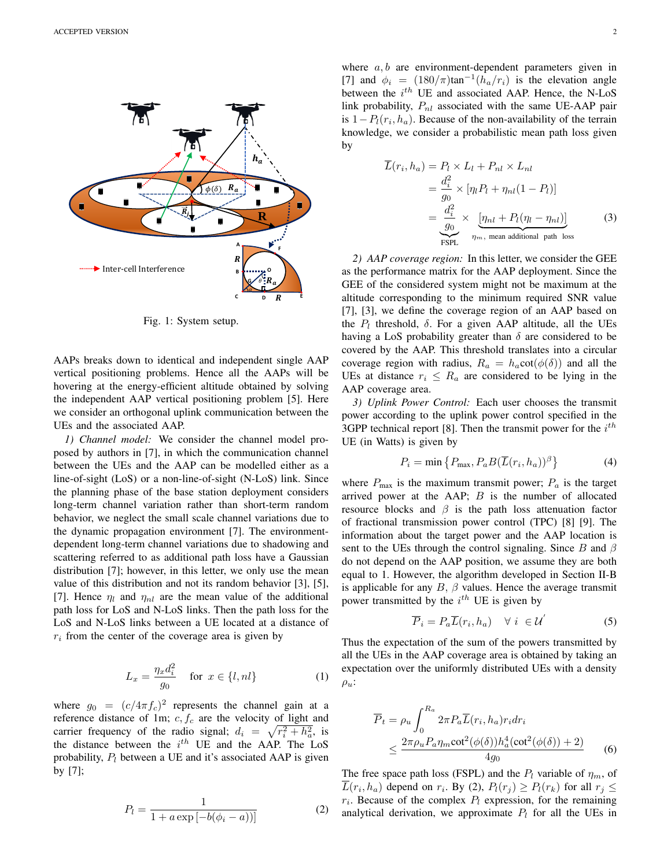

Fig. 1: System setup.

AAPs breaks down to identical and independent single AAP vertical positioning problems. Hence all the AAPs will be hovering at the energy-efficient altitude obtained by solving the independent AAP vertical positioning problem [5]. Here we consider an orthogonal uplink communication between the UEs and the associated AAP.

*1) Channel model:* We consider the channel model proposed by authors in [7], in which the communication channel between the UEs and the AAP can be modelled either as a line-of-sight (LoS) or a non-line-of-sight (N-LoS) link. Since the planning phase of the base station deployment considers long-term channel variation rather than short-term random behavior, we neglect the small scale channel variations due to the dynamic propagation environment [7]. The environmentdependent long-term channel variations due to shadowing and scattering referred to as additional path loss have a Gaussian distribution [7]; however, in this letter, we only use the mean value of this distribution and not its random behavior [3], [5], [7]. Hence  $\eta_l$  and  $\eta_{nl}$  are the mean value of the additional path loss for LoS and N-LoS links. Then the path loss for the LoS and N-LoS links between a UE located at a distance of  $r_i$  from the center of the coverage area is given by

$$
L_x = \frac{\eta_x d_i^2}{g_0} \quad \text{for } x \in \{l, nl\}
$$
 (1)

where  $g_0 = (c/4\pi f_c)^2$  represents the channel gain at a reference distance of 1m;  $c, f_c$  are the velocity of light and carrier frequency of the radio signal;  $d_i = \sqrt{r_i^2 + h_a^2}$ , is the distance between the  $i^{th}$  UE and the AAP. The LoS probability,  $P_l$  between a UE and it's associated AAP is given by [7];

$$
P_l = \frac{1}{1 + a \exp[-b(\phi_i - a))]}
$$
 (2)

where  $a, b$  are environment-dependent parameters given in [7] and  $\phi_i = (180/\pi) \tan^{-1}(h_a/r_i)$  is the elevation angle between the  $i^{th}$  UE and associated AAP. Hence, the N-LoS link probability,  $P_{nl}$  associated with the same UE-AAP pair is  $1 - P_l(r_i, h_a)$ . Because of the non-availability of the terrain knowledge, we consider a probabilistic mean path loss given by

$$
\overline{L}(r_i, h_a) = P_l \times L_l + P_{nl} \times L_{nl}
$$
\n
$$
= \frac{d_i^2}{g_0} \times [\eta_l P_l + \eta_{nl} (1 - P_l)]
$$
\n
$$
= \frac{d_i^2}{g_0} \times \underbrace{[\eta_{nl} + P_l (\eta_l - \eta_{nl})]}_{\eta_m, \text{ mean additional path loss}}
$$
\n(3)

*2) AAP coverage region:* In this letter, we consider the GEE as the performance matrix for the AAP deployment. Since the GEE of the considered system might not be maximum at the altitude corresponding to the minimum required SNR value [7], [3], we define the coverage region of an AAP based on the  $P_l$  threshold,  $\delta$ . For a given AAP altitude, all the UEs having a LoS probability greater than  $\delta$  are considered to be covered by the AAP. This threshold translates into a circular coverage region with radius,  $R_a = h_a \cot(\phi(\delta))$  and all the UEs at distance  $r_i \leq R_a$  are considered to be lying in the AAP coverage area.

*3) Uplink Power Control:* Each user chooses the transmit power according to the uplink power control specified in the 3GPP technical report [8]. Then the transmit power for the  $i^{th}$ UE (in Watts) is given by

$$
P_i = \min\left\{P_{\text{max}}, P_a B(\overline{L}(r_i, h_a))^{\beta}\right\} \tag{4}
$$

where  $P_{\text{max}}$  is the maximum transmit power;  $P_a$  is the target arrived power at the AAP;  $B$  is the number of allocated resource blocks and  $\beta$  is the path loss attenuation factor of fractional transmission power control (TPC) [8] [9]. The information about the target power and the AAP location is sent to the UEs through the control signaling. Since B and  $\beta$ do not depend on the AAP position, we assume they are both equal to 1. However, the algorithm developed in Section II-B is applicable for any  $B$ ,  $\beta$  values. Hence the average transmit power transmitted by the  $i^{th}$  UE is given by

$$
\overline{P}_i = P_a \overline{L}(r_i, h_a) \quad \forall \ i \in \mathcal{U}' \tag{5}
$$

Thus the expectation of the sum of the powers transmitted by all the UEs in the AAP coverage area is obtained by taking an expectation over the uniformly distributed UEs with a density  $\rho_u$ :

$$
\overline{P}_t = \rho_u \int_0^{R_a} 2\pi P_a \overline{L}(r_i, h_a) r_i dr_i
$$
\n
$$
\leq \frac{2\pi \rho_u P_a \eta_m \cot^2(\phi(\delta)) h_a^4(\cot^2(\phi(\delta)) + 2)}{4g_0} \tag{6}
$$

The free space path loss (FSPL) and the  $P_l$  variable of  $\eta_m$ , of  $L(r_i, h_a)$  depend on  $r_i$ . By (2),  $P_l(r_j) \ge P_l(r_k)$  for all  $r_j \le$  $r_i$ . Because of the complex  $P_i$  expression, for the remaining analytical derivation, we approximate  $P_l$  for all the UEs in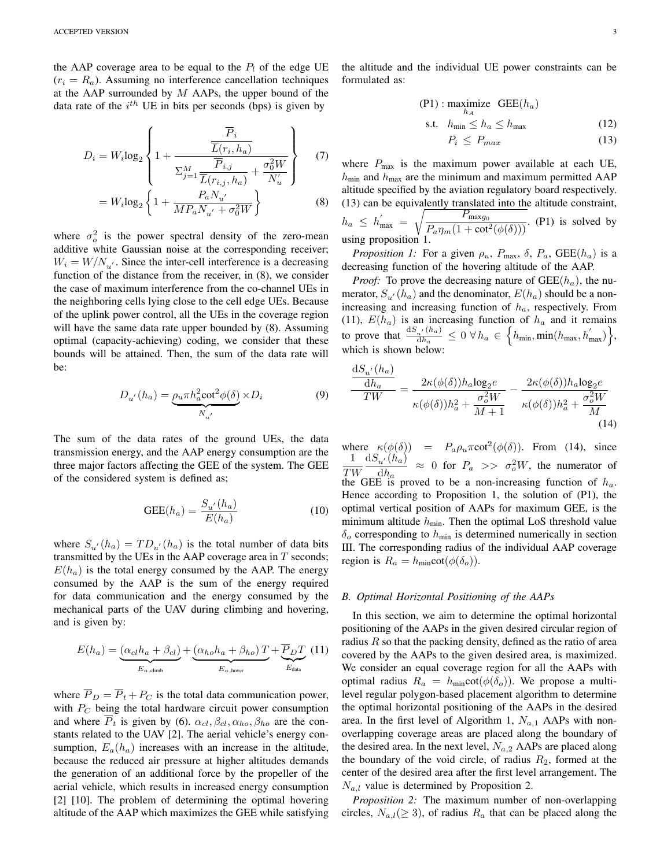the AAP coverage area to be equal to the  $P_l$  of the edge UE  $(r_i = R_a)$ . Assuming no interference cancellation techniques at the AAP surrounded by  $M$  AAPs, the upper bound of the data rate of the  $i<sup>th</sup>$  UE in bits per seconds (bps) is given by

$$
D_i = W_i \log_2 \left\{ 1 + \frac{\overline{\overline{L}}(r_i, h_a)}{\overline{\underline{L}}(r_i, h_a)} + \frac{\sigma_0^2 W}{\overline{N}_u'} \right\}
$$
(7)  
= 
$$
W_i \log_2 \left\{ 1 + \frac{P_a N_{u'}}{M P_a N_{u'} + \sigma_0^2 W} \right\}
$$
(8)

where  $\sigma_o^2$  is the power spectral density of the zero-mean additive white Gaussian noise at the corresponding receiver;  $W_i = W/N_{u'}$ . Since the inter-cell interference is a decreasing function of the distance from the receiver, in (8), we consider the case of maximum interference from the co-channel UEs in the neighboring cells lying close to the cell edge UEs. Because of the uplink power control, all the UEs in the coverage region will have the same data rate upper bounded by  $(8)$ . Assuming optimal (capacity-achieving) coding, we consider that these bounds will be attained. Then, the sum of the data rate will be:

$$
D_{u'}(h_a) = \underbrace{\rho_u \pi h_a^2 \cot^2 \phi(\delta)}_{N_{u'}} \times D_i
$$
 (9)

The sum of the data rates of the ground UEs, the data transmission energy, and the AAP energy consumption are the three major factors affecting the GEE of the system. The GEE of the considered system is defined as;

$$
GEE(h_a) = \frac{S_{u'}(h_a)}{E(h_a)}\tag{10}
$$

where  $S_{u'}(h_a) = TD_{u'}(h_a)$  is the total number of data bits transmitted by the UEs in the AAP coverage area in  $T$  seconds;  $E(h_a)$  is the total energy consumed by the AAP. The energy consumed by the AAP is the sum of the energy required for data communication and the energy consumed by the mechanical parts of the UAV during climbing and hovering, and is given by:

$$
E(h_a) = \underbrace{(\alpha_{cl}h_a + \beta_{cl})}_{E_{a,\text{climb}}} + \underbrace{(\alpha_{ho}h_a + \beta_{ho})T}_{E_{a,\text{hover}}} + \underbrace{\overline{P}_DT}_{E_{\text{data}}}
$$
 (11)

where  $\overline{P}_D = \overline{P}_t + P_C$  is the total data communication power, with  $P_C$  being the total hardware circuit power consumption and where  $\overline{P}_t$  is given by (6).  $\alpha_{cl}, \beta_{cl}, \alpha_{ho}, \beta_{ho}$  are the constants related to the UAV [2]. The aerial vehicle's energy consumption,  $E_a(h_a)$  increases with an increase in the altitude, because the reduced air pressure at higher altitudes demands the generation of an additional force by the propeller of the aerial vehicle, which results in increased energy consumption [2] [10]. The problem of determining the optimal hovering altitude of the AAP which maximizes the GEE while satisfying the altitude and the individual UE power constraints can be formulated as:

$$
\begin{aligned} \text{(P1)}: \text{maximize} \quad \text{GEE}(h_a) \\ \text{s.t.} \quad h_{\text{min}} \le h_a \le h_{\text{max}} \end{aligned} \tag{12}
$$

$$
P_i \le P_{max} \tag{13}
$$

where  $P_{\text{max}}$  is the maximum power available at each UE,  $h_{\text{min}}$  and  $h_{\text{max}}$  are the minimum and maximum permitted AAP altitude specified by the aviation regulatory board respectively. (13) can be equivalently translated into the altitude constraint,  $h_a \leq h'_{\text{max}} = \sqrt{\frac{P_{\text{max}} g_0}{P_{\text{max}} (1 + \cot^2 \theta)}}$  $\frac{P_{\text{max}}(1 + \cot^2(\phi(\delta)))}{P_{\text{max}}(1 + \cot^2(\phi(\delta)))}$ . (P1) is solved by using proposition 1.

*Proposition 1:* For a given  $\rho_u$ ,  $P_{\text{max}}$ ,  $\delta$ ,  $P_a$ ,  $\text{GEE}(h_a)$  is a decreasing function of the hovering altitude of the AAP.

*Proof:* To prove the decreasing nature of  $GEE(h_a)$ , the numerator,  $S_{u'}(h_a)$  and the denominator,  $E(h_a)$  should be a nonincreasing and increasing function of  $h_a$ , respectively. From (11),  $E(h_a)$  is an increasing function of  $h_a$  and it remains to prove that  $\frac{dS_{u'}(h_a)}{dh}$  $\frac{d\mu^{'}(h_a)}{dh_a} \leq 0 \;\forall \, h_a \, \in \, \Big\{h_{\min}, \min(h_{\max},h^{'}_{\max})\Big\},$ which is shown below:

$$
\frac{\mathrm{d}S_{u'}(h_a)}{T W} = \frac{2\kappa(\phi(\delta))h_a \log_2 e}{\kappa(\phi(\delta))h_a^2 + \frac{\sigma_o^2 W}{M+1}} - \frac{2\kappa(\phi(\delta))h_a \log_2 e}{\kappa(\phi(\delta))h_a^2 + \frac{\sigma_o^2 W}{M}}
$$
(14)

where  $\kappa(\phi(\delta)) = P_a \rho_u \pi \cot^2(\phi(\delta))$ . From (14), since 1 TW  $\mathrm{d}S_{u'}(h_a)$  $\frac{u'(h_a)}{dh_a} \approx 0$  for  $P_a \gg \sigma_o^2 W$ , the numerator of the GEE is proved to be a non-increasing function of  $h_a$ . Hence according to Proposition 1, the solution of (P1), the optimal vertical position of AAPs for maximum GEE, is the minimum altitude  $h_{\text{min}}$ . Then the optimal LoS threshold value  $\delta_o$  corresponding to  $h_{\text{min}}$  is determined numerically in section III. The corresponding radius of the individual AAP coverage region is  $R_a = h_{\text{min}} \cot(\phi(\delta_o)).$ 

#### *B. Optimal Horizontal Positioning of the AAPs*

In this section, we aim to determine the optimal horizontal positioning of the AAPs in the given desired circular region of radius  $R$  so that the packing density, defined as the ratio of area covered by the AAPs to the given desired area, is maximized. We consider an equal coverage region for all the AAPs with optimal radius  $R_a = h_{\text{min}} \cot(\phi(\delta_o))$ . We propose a multilevel regular polygon-based placement algorithm to determine the optimal horizontal positioning of the AAPs in the desired area. In the first level of Algorithm 1,  $N_{a,1}$  AAPs with nonoverlapping coverage areas are placed along the boundary of the desired area. In the next level,  $N_{a,2}$  AAPs are placed along the boundary of the void circle, of radius  $R_2$ , formed at the center of the desired area after the first level arrangement. The  $N_{a,l}$  value is determined by Proposition 2.

*Proposition 2:* The maximum number of non-overlapping circles,  $N_{a,l}(\geq 3)$ , of radius  $R_a$  that can be placed along the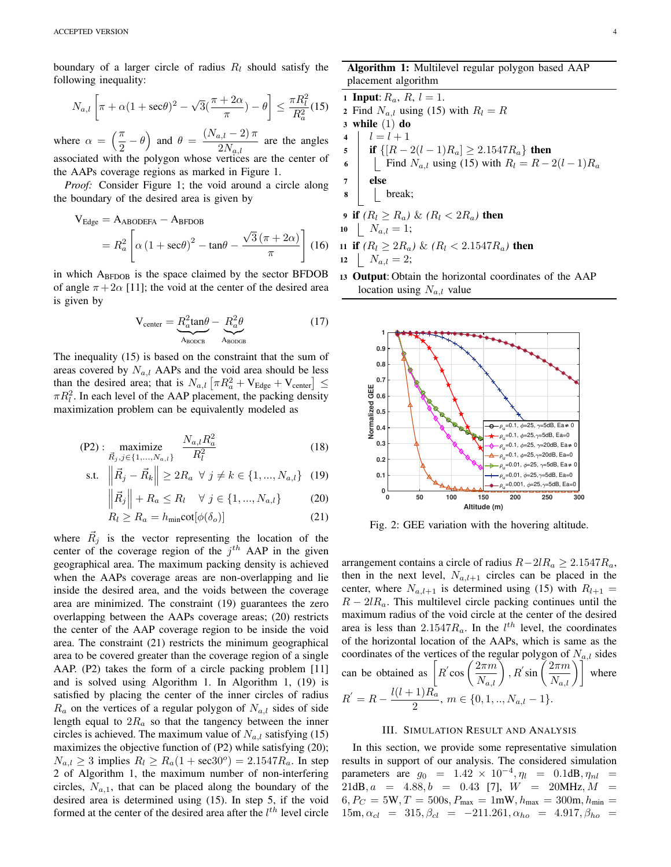boundary of a larger circle of radius  $R_l$  should satisfy the following inequality:

$$
N_{a,l}\left[\pi + \alpha(1 + \sec\theta)^2 - \sqrt{3}(\frac{\pi + 2\alpha}{\pi}) - \theta\right] \le \frac{\pi R_l^2}{R_a^2}(15)
$$

where  $\alpha = \left(\frac{\pi}{2}\right)$  $\left(\frac{\pi}{2} - \theta\right)$  and  $\theta = \frac{(N_{a,l} - 2)\pi}{2N_{a,l}}$  $\frac{2N_{a,l}}{2N_{a,l}}$  are the angles associated with the polygon whose vertices are the center of the AAPs coverage regions as marked in Figure 1.

*Proof:* Consider Figure 1; the void around a circle along the boundary of the desired area is given by

$$
V_{Edge} = A_{ABODEFA} - A_{BFDOB}
$$
  
=  $R_a^2 \left[ \alpha (1 + \sec\theta)^2 - \tan\theta - \frac{\sqrt{3} (\pi + 2\alpha)}{\pi} \right]$  (16)

in which  $A_{\text{BFDOB}}$  is the space claimed by the sector BFDOB of angle  $\pi + 2\alpha$  [11]; the void at the center of the desired area is given by

$$
V_{\text{center}} = \underbrace{R_a^2 \tan \theta}_{A_{\text{BODCB}}} - \underbrace{R_a^2 \theta}_{A_{\text{BODCB}}} \tag{17}
$$

The inequality (15) is based on the constraint that the sum of areas covered by  $N_{a,l}$  AAPs and the void area should be less than the desired area; that is  $N_{a,l} \left[ \pi R_a^2 + V_{\text{Edge}} + V_{\text{center}} \right] \leq$  $\pi R_l^2$ . In each level of the AAP placement, the packing density maximization problem can be equivalently modeled as

$$
(P2): \underset{\vec{R}_j, j \in \{1, \dots, N_{a,l}\}}{\text{maximize}} \frac{N_{a,l} R_a^2}{R_l^2} \tag{18}
$$

s.t. 
$$
\|\vec{R}_j - \vec{R}_k\| \ge 2R_a \ \forall \ j \ne k \in \{1, ..., N_{a,l}\}
$$
 (19)

$$
\left\| \vec{R}_j \right\| + R_a \le R_l \quad \forall \ j \in \{1, ..., N_{a,l}\} \tag{20}
$$

$$
R_l \ge R_a = h_{\min} \cot[\phi(\delta_o)] \tag{21}
$$

where  $\vec{R}_j$  is the vector representing the location of the center of the coverage region of the  $j<sup>th</sup>$  AAP in the given geographical area. The maximum packing density is achieved when the AAPs coverage areas are non-overlapping and lie inside the desired area, and the voids between the coverage area are minimized. The constraint (19) guarantees the zero overlapping between the AAPs coverage areas; (20) restricts the center of the AAP coverage region to be inside the void area. The constraint (21) restricts the minimum geographical area to be covered greater than the coverage region of a single AAP. (P2) takes the form of a circle packing problem [11] and is solved using Algorithm 1. In Algorithm 1, (19) is satisfied by placing the center of the inner circles of radius  $R_a$  on the vertices of a regular polygon of  $N_{a,l}$  sides of side length equal to  $2R_a$  so that the tangency between the inner circles is achieved. The maximum value of  $N_{a,l}$  satisfying (15) maximizes the objective function of (P2) while satisfying (20);  $N_{a,l} \geq 3$  implies  $R_l \geq R_a(1 + \sec 30^\circ) = 2.1547 R_a$ . In step 2 of Algorithm 1, the maximum number of non-interfering circles,  $N_{a,1}$ , that can be placed along the boundary of the desired area is determined using (15). In step 5, if the void formed at the center of the desired area after the  $l^{th}$  level circle

Algorithm 1: Multilevel regular polygon based AAP placement algorithm

1 Input:  $R_a$ ,  $R$ ,  $l = 1$ . 2 Find  $N_{a,l}$  using (15) with  $R_l = R$  $3$  while  $(1)$  do 4  $l = l + 1$ 5 **if**  $\{[R-2(l-1)R_a] \ge 2.1547R_a\}$  then 6  $\left| \begin{array}{c} \end{array} \right|$  Find  $N_{a,l}$  using (15) with  $R_l = R - 2(l - 1)R_a$ 7 else 8 break; 9 if  $(R_l \geq R_a)$  &  $(R_l < 2R_a)$  then

10 
$$
N_{a,l} = 1;
$$

11 if 
$$
(R_l \geq 2R_a) \& (R_l < 2.1547R_a)
$$
 then  
12 |  $N_{a,l} = 2$ ;

<sup>13</sup> Output: Obtain the horizontal coordinates of the AAP location using  $N_{a,l}$  value



Fig. 2: GEE variation with the hovering altitude.

arrangement contains a circle of radius  $R-2lR_a \ge 2.1547R_a$ , then in the next level,  $N_{a,l+1}$  circles can be placed in the center, where  $N_{a,l+1}$  is determined using (15) with  $R_{l+1} =$  $R - 2lR_a$ . This multilevel circle packing continues until the maximum radius of the void circle at the center of the desired area is less than 2.1547 $R_a$ . In the  $l^{th}$  level, the coordinates of the horizontal location of the AAPs, which is same as the coordinates of the vertices of the regular polygon of  $N_{a,l}$  sides can be obtained as  $R^{'}\text{cos}\left(\frac{2\pi m}{N_{a,l}}\right)$  ,  $R^{'}\text{sin}\left(\frac{2\pi m}{N_{a,l}}\right)$  where  $R^{'} = R - \frac{l(l+1)R_a}{2}$  $\frac{1}{2}$ ,  $m \in \{0, 1, ..., N_{a,l} - 1\}.$ 

#### III. SIMULATION RESULT AND ANALYSIS

In this section, we provide some representative simulation results in support of our analysis. The considered simulation parameters are  $g_0 = 1.42 \times 10^{-4}, \eta_l = 0.1$ dB,  $\eta_{nl}$  $21dB, a = 4.88, b = 0.43$  [7],  $W = 20MHz, M =$  $6, P_C = 5W, T = 500s, P_{\text{max}} = 1 \text{mW}, h_{\text{max}} = 300 \text{m}, h_{\text{min}} =$  $15m, \alpha_{cl} = 315, \beta_{cl} = -211.261, \alpha_{ho} = 4.917, \beta_{ho} =$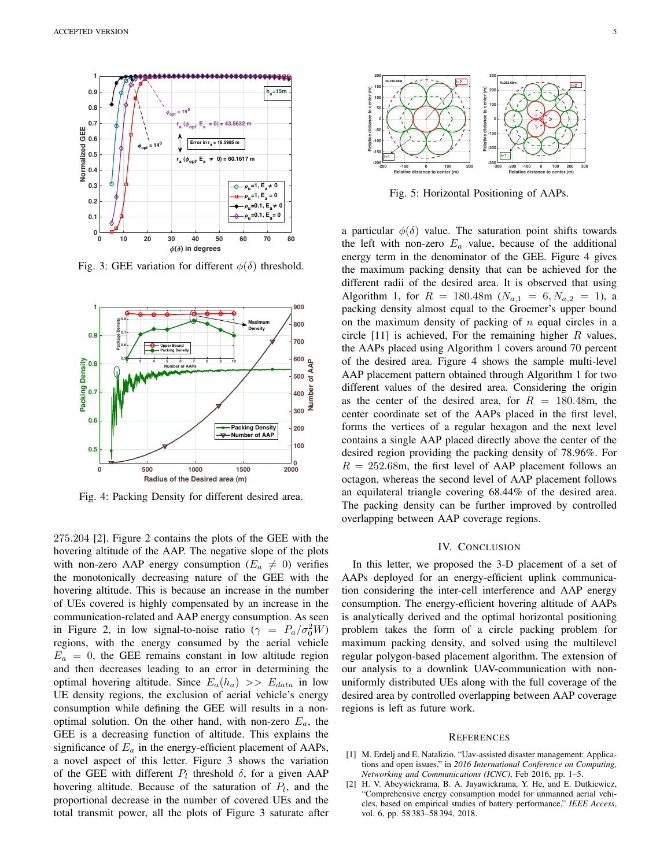

Fig. 3: GEE variation for different  $\phi(\delta)$  threshold.



Fig. 4: Packing Density for different desired area.

275.204 [2]. Figure 2 contains the plots of the GEE with the hovering altitude of the AAP. The negative slope of the plots with non-zero AAP energy consumption ( $E_a \neq 0$ ) verifies the monotonically decreasing nature of the GEE with the hovering altitude. This is because an increase in the number of UEs covered is highly compensated by an increase in the communication-related and AAP energy consumption. As seen in Figure 2, in low signal-to-noise ratio ( $\gamma = P_a/\sigma_0^2 W$ ) regions, with the energy consumed by the aerial vehicle  $E_a = 0$ , the GEE remains constant in low altitude region and then decreases leading to an error in determining the optimal hovering altitude. Since  $E_a(h_a) >> E_{data}$  in low UE density regions, the exclusion of aerial vehicle's energy consumption while defining the GEE will results in a nonoptimal solution. On the other hand, with non-zero  $E_a$ , the GEE is a decreasing function of altitude. This explains the significance of  $E_a$  in the energy-efficient placement of AAPs, a novel aspect of this letter. Figure 3 shows the variation of the GEE with different  $P_l$  threshold  $\delta$ , for a given AAP hovering altitude. Because of the saturation of  $P_l$ , and the proportional decrease in the number of covered UEs and the total transmit power, all the plots of Figure 3 saturate after



Fig. 5: Horizontal Positioning of AAPs.

a particular  $\phi(\delta)$  value. The saturation point shifts towards the left with non-zero  $E_a$  value, because of the additional energy term in the denominator of the GEE. Figure 4 gives the maximum packing density that can be achieved for the different radii of the desired area. It is observed that using Algorithm 1, for  $R = 180.48$ m  $(N_{a,1} = 6, N_{a,2} = 1)$ , a packing density almost equal to the Groemer's upper bound on the maximum density of packing of  $n$  equal circles in a circle  $[11]$  is achieved, For the remaining higher R values, the AAPs placed using Algorithm 1 covers around 70 percent of the desired area. Figure 4 shows the sample multi-level AAP placement pattern obtained through Algorithm 1 for two different values of the desired area. Considering the origin as the center of the desired area, for  $R = 180.48$ m, the center coordinate set of the AAPs placed in the first level, forms the vertices of a regular hexagon and the next level contains a single AAP placed directly above the center of the desired region providing the packing density of 78.96%. For  $R = 252.68$ m, the first level of AAP placement follows an octagon, whereas the second level of AAP placement follows an equilateral triangle covering 68.44% of the desired area. The packing density can be further improved by controlled overlapping between AAP coverage regions.

## IV. CONCLUSION

In this letter, we proposed the 3-D placement of a set of AAPs deployed for an energy-efficient uplink communication considering the inter-cell interference and AAP energy consumption. The energy-efficient hovering altitude of AAPs is analytically derived and the optimal horizontal positioning problem takes the form of a circle packing problem for maximum packing density, and solved using the multilevel regular polygon-based placement algorithm. The extension of our analysis to a downlink UAV-communication with nonuniformly distributed UEs along with the full coverage of the desired area by controlled overlapping between AAP coverage regions is left as future work.

#### **REFERENCES**

- [1] M. Erdelj and E. Natalizio, "Uav-assisted disaster management: Applications and open issues," in *2016 International Conference on Computing, Networking and Communications (ICNC)*, Feb 2016, pp. 1–5.
- [2] H. V. Abeywickrama, B. A. Jayawickrama, Y. He, and E. Dutkiewicz, "Comprehensive energy consumption model for unmanned aerial vehicles, based on empirical studies of battery performance," *IEEE Access*, vol. 6, pp. 58 383–58 394, 2018.